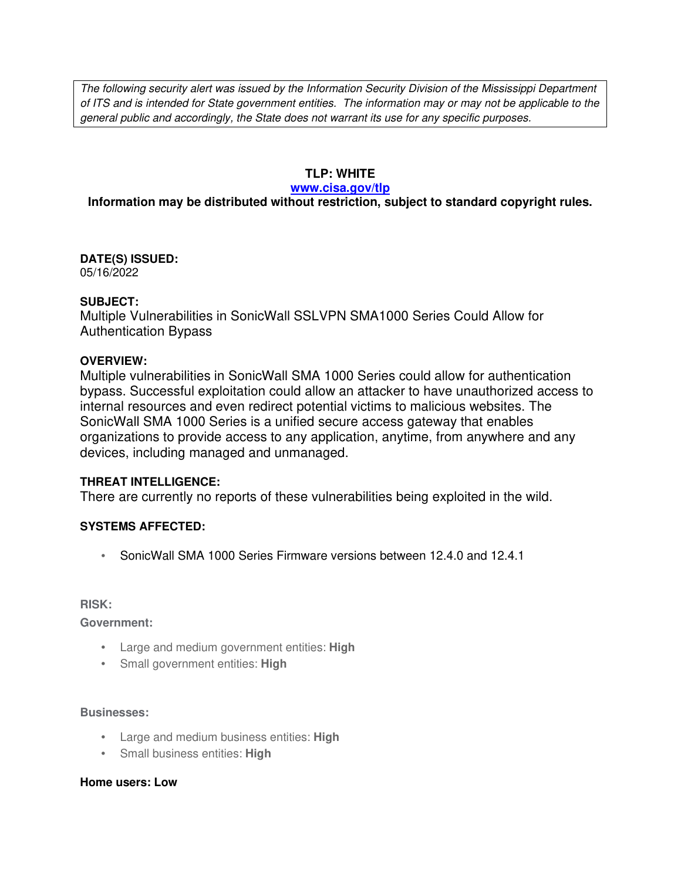The following security alert was issued by the Information Security Division of the Mississippi Department of ITS and is intended for State government entities. The information may or may not be applicable to the general public and accordingly, the State does not warrant its use for any specific purposes.

### **TLP: WHITE**

#### **www.cisa.gov/tlp**

# **Information may be distributed without restriction, subject to standard copyright rules.**

**DATE(S) ISSUED:** 05/16/2022

#### **SUBJECT:**

Multiple Vulnerabilities in SonicWall SSLVPN SMA1000 Series Could Allow for Authentication Bypass

### **OVERVIEW:**

Multiple vulnerabilities in SonicWall SMA 1000 Series could allow for authentication bypass. Successful exploitation could allow an attacker to have unauthorized access to internal resources and even redirect potential victims to malicious websites. The SonicWall SMA 1000 Series is a unified secure access gateway that enables organizations to provide access to any application, anytime, from anywhere and any devices, including managed and unmanaged.

### **THREAT INTELLIGENCE:**

There are currently no reports of these vulnerabilities being exploited in the wild.

### **SYSTEMS AFFECTED:**

• SonicWall SMA 1000 Series Firmware versions between 12.4.0 and 12.4.1

**RISK:** 

**Government:**

- Large and medium government entities: **High**
- Small government entities: **High**

#### **Businesses:**

- Large and medium business entities: **High**
- Small business entities: **High**

#### **Home users: Low**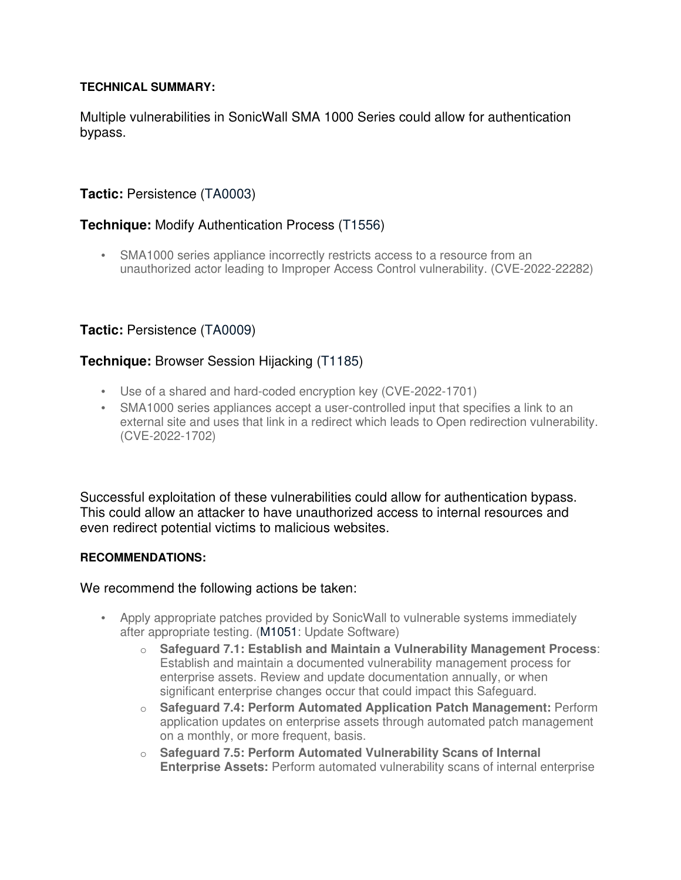### **TECHNICAL SUMMARY:**

Multiple vulnerabilities in SonicWall SMA 1000 Series could allow for authentication bypass.

# **Tactic:** Persistence (TA0003)

# **Technique:** Modify Authentication Process (T1556)

• SMA1000 series appliance incorrectly restricts access to a resource from an unauthorized actor leading to Improper Access Control vulnerability. (CVE-2022-22282)

# **Tactic:** Persistence (TA0009)

# **Technique:** Browser Session Hijacking (T1185)

- Use of a shared and hard-coded encryption key (CVE-2022-1701)
- SMA1000 series appliances accept a user-controlled input that specifies a link to an external site and uses that link in a redirect which leads to Open redirection vulnerability. (CVE-2022-1702)

Successful exploitation of these vulnerabilities could allow for authentication bypass. This could allow an attacker to have unauthorized access to internal resources and even redirect potential victims to malicious websites.

### **RECOMMENDATIONS:**

We recommend the following actions be taken:

- Apply appropriate patches provided by SonicWall to vulnerable systems immediately after appropriate testing. (M1051: Update Software)
	- o **Safeguard 7.1: Establish and Maintain a Vulnerability Management Process**: Establish and maintain a documented vulnerability management process for enterprise assets. Review and update documentation annually, or when significant enterprise changes occur that could impact this Safeguard.
	- o **Safeguard 7.4: Perform Automated Application Patch Management:** Perform application updates on enterprise assets through automated patch management on a monthly, or more frequent, basis.
	- o **Safeguard 7.5: Perform Automated Vulnerability Scans of Internal Enterprise Assets:** Perform automated vulnerability scans of internal enterprise